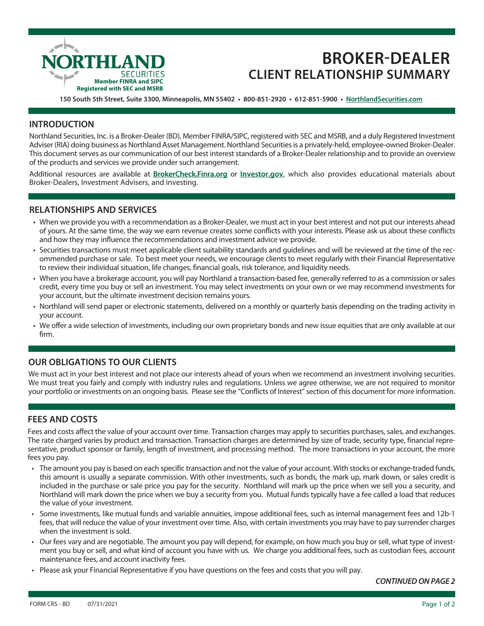

# **BROKER-DEALER CLIENT RELATIONSHIP SUMMARY**

**150 South 5th Street, Suite 3300, Minneapolis, MN 55402 • 800-851-2920 • 612-851-5900 • NorthlandSecurities.com**

#### **INTRODUCTION**

Northland Securities, Inc. is a Broker-Dealer (BD), Member FINRA/SIPC, registered with SEC and MSRB, and a duly Registered Investment Adviser (RIA) doing business as Northland Asset Management. Northland Securities is a privately-held, employee-owned Broker-Dealer. This document serves as our communication of our best interest standards of a Broker-Dealer relationship and to provide an overview of the products and services we provide under such arrangement.

Additional resources are available at **BrokerCheck.Finra.org** or **Investor.gov**, which also provides educational materials about Broker-Dealers, Investment Advisers, and investing.

#### **RELATIONSHIPS AND SERVICES**

- When we provide you with a recommendation as a Broker-Dealer, we must act in your best interest and not put our interests ahead of yours. At the same time, the way we earn revenue creates some conflicts with your interests. Please ask us about these conflicts and how they may influence the recommendations and investment advice we provide.
- Securities transactions must meet applicable client suitability standards and guidelines and will be reviewed at the time of the recommended purchase or sale. To best meet your needs, we encourage clients to meet regularly with their Financial Representative to review their individual situation, life changes, financial goals, risk tolerance, and liquidity needs.
- When you have a brokerage account, you will pay Northland a transaction-based fee, generally referred to as a commission or sales credit, every time you buy or sell an investment. You may select investments on your own or we may recommend investments for your account, but the ultimate investment decision remains yours.
- Northland will send paper or electronic statements, delivered on a monthly or quarterly basis depending on the trading activity in your account.
- We offer a wide selection of investments, including our own proprietary bonds and new issue equities that are only available at our firm.

### **OUR OBLIGATIONS TO OUR CLIENTS**

We must act in your best interest and not place our interests ahead of yours when we recommend an investment involving securities. We must treat you fairly and comply with industry rules and regulations. Unless we agree otherwise, we are not required to monitor your portfolio or investments on an ongoing basis. Please see the "Conflicts of Interest" section of this document for more information.

## **FEES AND COSTS**

Fees and costs affect the value of your account over time. Transaction charges may apply to securities purchases, sales, and exchanges. The rate charged varies by product and transaction. Transaction charges are determined by size of trade, security type, financial representative, product sponsor or family, length of investment, and processing method. The more transactions in your account, the more fees you pay.

- The amount you pay is based on each specific transaction and not the value of your account. With stocks or exchange-traded funds, this amount is usually a separate commission. With other investments, such as bonds, the mark up, mark down, or sales credit is included in the purchase or sale price you pay for the security. Northland will mark up the price when we sell you a security, and Northland will mark down the price when we buy a security from you. Mutual funds typically have a fee called a load that reduces the value of your investment.
- Some investments, like mutual funds and variable annuities, impose additional fees, such as internal management fees and 12b-1 fees, that will reduce the value of your investment over time. Also, with certain investments you may have to pay surrender charges when the investment is sold.
- Our fees vary and are negotiable. The amount you pay will depend, for example, on how much you buy or sell, what type of investment you buy or sell, and what kind of account you have with us. We charge you additional fees, such as custodian fees, account maintenance fees, and account inactivity fees.
- Please ask your Financial Representative if you have questions on the fees and costs that you will pay.

*CONTINUED ON PAGE 2*